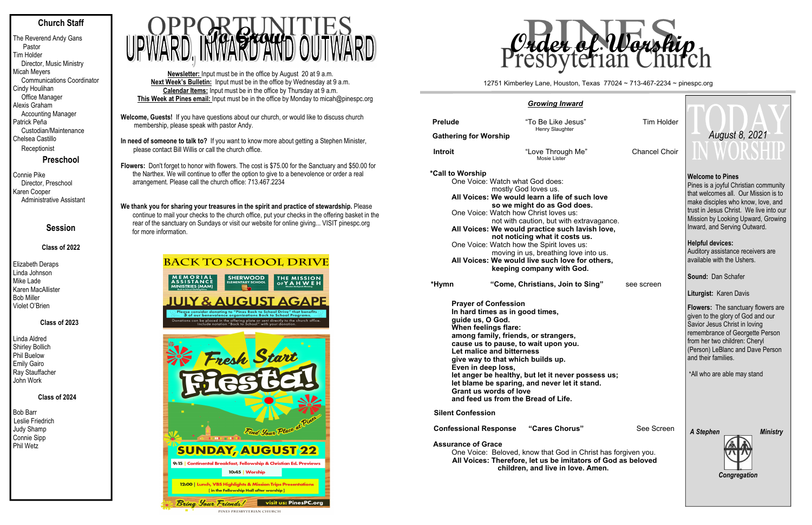## **Church Staff**

The Reverend Andy Gans Pastor Tim Holder Director, Music Ministry Micah Meyers Communications Coordinator Cindy Houlihan Office Manager Alexis Graham Accounting Manager Patrick Peña Custodian/Maintenance Chelsea Castillo Receptionist

**Preschool**

Connie Pike Director, Preschool Karen Cooper Administrative Assistant

## **Session**

## **Class of 2022**

Elizabeth Deraps Linda Johnson Mike Lade Karen MacAllister Bob Miller Violet O'Brien

#### **Class of 2023**

Linda Aldred Shirley Bollich Phil Buelow Emily Gairo Ray Stauffacher John Work

## **Class of 2024**

Bob Barr Leslie Friedrich Judy Shamp Connie Sipp Phil Wetz

We thank you for sharing your treasures in the spirit and practice of stewardship. Please continue to mail your checks to the church office, put your checks in the offering basket in the rear of the sanctuary on Sundays or visit our website for online giving... VISIT pinespc.org for more information.

# **BACK TO SCHOOL DRIVE**



- **Welcome, Guests!** If you have questions about our church, or would like to discuss church membership, please speak with pastor Andy.
- **In need of someone to talk to?** If you want to know more about getting a Stephen Minister, please contact Bill Willis or call the church office.

**Flowers:** Don't forget to honor with flowers. The cost is \$75.00 for the Sanctuary and \$50.00 for the Narthex. We will continue to offer the option to give to a benevolence or order a real arrangement. Please call the church office: 713.467.2234

| among family, friends, or strangers,               |
|----------------------------------------------------|
| cause us to pause, to wait upon you.               |
| Let malice and bitterness                          |
| give way to that which builds up.                  |
| Even in deep loss,                                 |
| let anger be healthy, but let it never possess us; |
| let blame be sparing, and never let it stand.      |
| Grant us words of love                             |
| and feed us from the Bread of Life.                |
| <b>Silent Confession</b>                           |

**Confessional Response "Cares Chorus"** 

**Newsletter:** Input must be in the office by August 20 at 9 a.m. **Next Week's Bulletin:** Input must be in the office by Wednesday at 9 a.m. **Calendar Items:** Input must be in the office by Thursday at 9 a.m. **This Week at Pines email:** Input must be in the office by Monday to micah@pinespc.org



#### *Growing Inward*

| <b>Prelude</b><br><b>Gathering for Worship</b>                                                                                                                                                                                                                                                                                                                                                                                                                                                               | "To Be Like Jesus"<br>Henry Slaughter                                                                 | Tim Holder           |  |  |  |  |  |  |
|--------------------------------------------------------------------------------------------------------------------------------------------------------------------------------------------------------------------------------------------------------------------------------------------------------------------------------------------------------------------------------------------------------------------------------------------------------------------------------------------------------------|-------------------------------------------------------------------------------------------------------|----------------------|--|--|--|--|--|--|
| <b>Introit</b>                                                                                                                                                                                                                                                                                                                                                                                                                                                                                               | "Love Through Me"<br>Mosie Lister                                                                     | <b>Chancel Choir</b> |  |  |  |  |  |  |
| *Call to Worship<br>One Voice: Watch what God does:<br>mostly God loves us.<br>All Voices: We would learn a life of such love<br>so we might do as God does.<br>One Voice: Watch how Christ loves us:<br>not with caution, but with extravagance.<br>All Voices: We would practice such lavish love,<br>not noticing what it costs us.<br>One Voice: Watch how the Spirit loves us:<br>moving in us, breathing love into us.<br>All Voices: We would live such love for others,<br>keeping company with God. |                                                                                                       |                      |  |  |  |  |  |  |
| *Hymn                                                                                                                                                                                                                                                                                                                                                                                                                                                                                                        | "Come, Christians, Join to Sing"                                                                      | see screen           |  |  |  |  |  |  |
| guide us, O God.<br>When feelings flare:                                                                                                                                                                                                                                                                                                                                                                                                                                                                     | <b>Prayer of Confession</b><br>In hard times as in good times,<br>among family, friande, ar etrangere |                      |  |  |  |  |  |  |

| <b>Tim Holder</b><br><b>Chancel Choir</b>                      | August 8, 2021<br>N WORSHIE                                                                                                                                                                                                                                                                                                     |  |  |  |  |
|----------------------------------------------------------------|---------------------------------------------------------------------------------------------------------------------------------------------------------------------------------------------------------------------------------------------------------------------------------------------------------------------------------|--|--|--|--|
| ove<br>igance.<br>love,                                        | <b>Welcome to Pines</b><br>Pines is a joyful Christian community<br>that welcomes all. Our Mission is to<br>make disciples who know, love, and<br>trust in Jesus Christ. We live into our<br>Mission by Looking Upward, Growing<br>Inward, and Serving Outward.<br><b>Helpful devices:</b><br>Auditory assistance receivers are |  |  |  |  |
| us.<br>hers,                                                   | available with the Ushers.                                                                                                                                                                                                                                                                                                      |  |  |  |  |
| g"<br>see screen                                               | Sound: Dan Schafer                                                                                                                                                                                                                                                                                                              |  |  |  |  |
|                                                                | Liturgist: Karen Davis<br><b>Flowers:</b> The sanctuary flowers are<br>given to the glory of God and our<br>Savior Jesus Christ in loving<br>remembrance of Georgette Person<br>from her two children: Cheryl<br>(Person) LeBlanc and Dave Person<br>and their families.                                                        |  |  |  |  |
| <b>SS US;</b><br>J.                                            | *All who are able may stand                                                                                                                                                                                                                                                                                                     |  |  |  |  |
| See Screen<br>t has forgiven you.<br>of God as beloved<br>ıen. | A Stephen<br><b>Ministry</b><br>Congregation                                                                                                                                                                                                                                                                                    |  |  |  |  |

#### **Assurance of Grace**

One Voice: Beloved, know that God in Christ **All Voices: Therefore, let us be imitators of All Voices: Therefore, let us be imitators of** children, and live in love. Am

#### 12751 Kimberley Lane, Houston, Texas 77024 ~ 713-467-2234 ~ pinespc.org